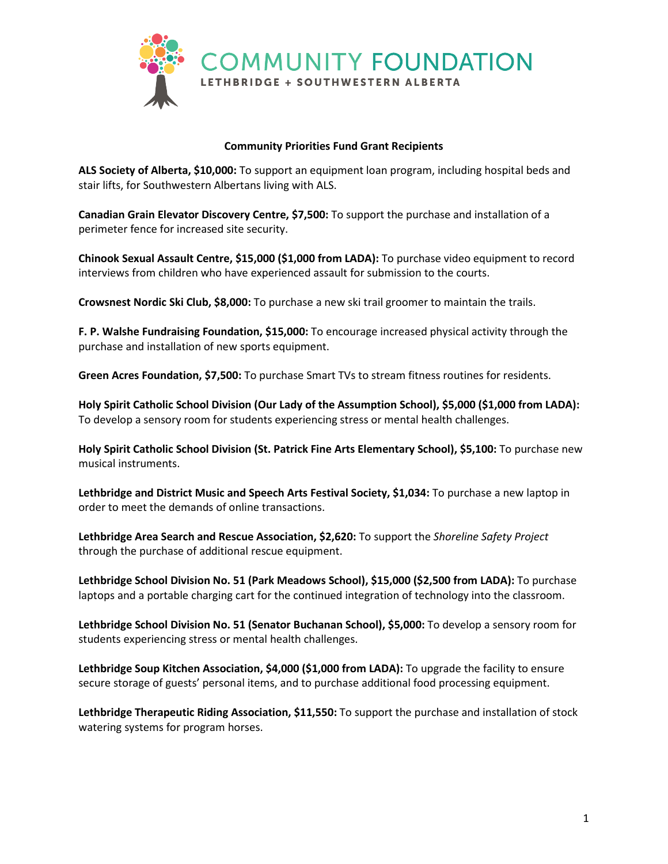

## **Community Priorities Fund Grant Recipients**

**ALS Society of Alberta, \$10,000:** To support an equipment loan program, including hospital beds and stair lifts, for Southwestern Albertans living with ALS.

**Canadian Grain Elevator Discovery Centre, \$7,500:** To support the purchase and installation of a perimeter fence for increased site security.

**Chinook Sexual Assault Centre, \$15,000 (\$1,000 from LADA):** To purchase video equipment to record interviews from children who have experienced assault for submission to the courts.

**Crowsnest Nordic Ski Club, \$8,000:** To purchase a new ski trail groomer to maintain the trails.

**F. P. Walshe Fundraising Foundation, \$15,000:** To encourage increased physical activity through the purchase and installation of new sports equipment.

**Green Acres Foundation, \$7,500:** To purchase Smart TVs to stream fitness routines for residents.

**Holy Spirit Catholic School Division (Our Lady of the Assumption School), \$5,000 (\$1,000 from LADA):**  To develop a sensory room for students experiencing stress or mental health challenges.

**Holy Spirit Catholic School Division (St. Patrick Fine Arts Elementary School), \$5,100:** To purchase new musical instruments.

**Lethbridge and District Music and Speech Arts Festival Society, \$1,034:** To purchase a new laptop in order to meet the demands of online transactions.

**Lethbridge Area Search and Rescue Association, \$2,620:** To support the *Shoreline Safety Project* through the purchase of additional rescue equipment.

**Lethbridge School Division No. 51 (Park Meadows School), \$15,000 (\$2,500 from LADA):** To purchase laptops and a portable charging cart for the continued integration of technology into the classroom.

**Lethbridge School Division No. 51 (Senator Buchanan School), \$5,000:** To develop a sensory room for students experiencing stress or mental health challenges.

**Lethbridge Soup Kitchen Association, \$4,000 (\$1,000 from LADA):** To upgrade the facility to ensure secure storage of guests' personal items, and to purchase additional food processing equipment.

**Lethbridge Therapeutic Riding Association, \$11,550:** To support the purchase and installation of stock watering systems for program horses.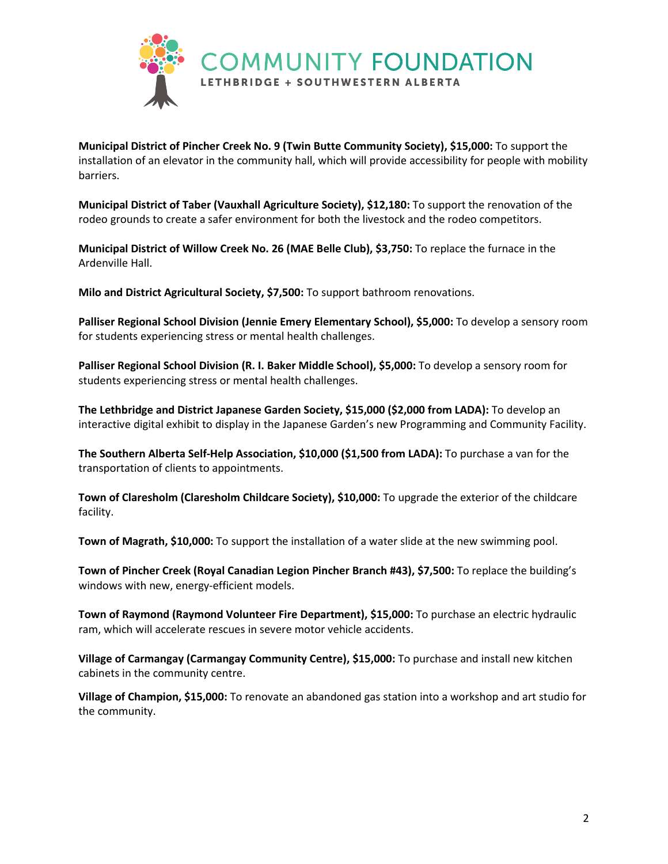

**Municipal District of Pincher Creek No. 9 (Twin Butte Community Society), \$15,000:** To support the installation of an elevator in the community hall, which will provide accessibility for people with mobility barriers.

**Municipal District of Taber (Vauxhall Agriculture Society), \$12,180:** To support the renovation of the rodeo grounds to create a safer environment for both the livestock and the rodeo competitors.

**Municipal District of Willow Creek No. 26 (MAE Belle Club), \$3,750:** To replace the furnace in the Ardenville Hall.

**Milo and District Agricultural Society, \$7,500:** To support bathroom renovations.

**Palliser Regional School Division (Jennie Emery Elementary School), \$5,000:** To develop a sensory room for students experiencing stress or mental health challenges.

**Palliser Regional School Division (R. I. Baker Middle School), \$5,000:** To develop a sensory room for students experiencing stress or mental health challenges.

**The Lethbridge and District Japanese Garden Society, \$15,000 (\$2,000 from LADA):** To develop an interactive digital exhibit to display in the Japanese Garden's new Programming and Community Facility.

**The Southern Alberta Self-Help Association, \$10,000 (\$1,500 from LADA):** To purchase a van for the transportation of clients to appointments.

**Town of Claresholm (Claresholm Childcare Society), \$10,000:** To upgrade the exterior of the childcare facility.

**Town of Magrath, \$10,000:** To support the installation of a water slide at the new swimming pool.

**Town of Pincher Creek (Royal Canadian Legion Pincher Branch #43), \$7,500:** To replace the building's windows with new, energy-efficient models.

**Town of Raymond (Raymond Volunteer Fire Department), \$15,000:** To purchase an electric hydraulic ram, which will accelerate rescues in severe motor vehicle accidents.

**Village of Carmangay (Carmangay Community Centre), \$15,000:** To purchase and install new kitchen cabinets in the community centre.

**Village of Champion, \$15,000:** To renovate an abandoned gas station into a workshop and art studio for the community.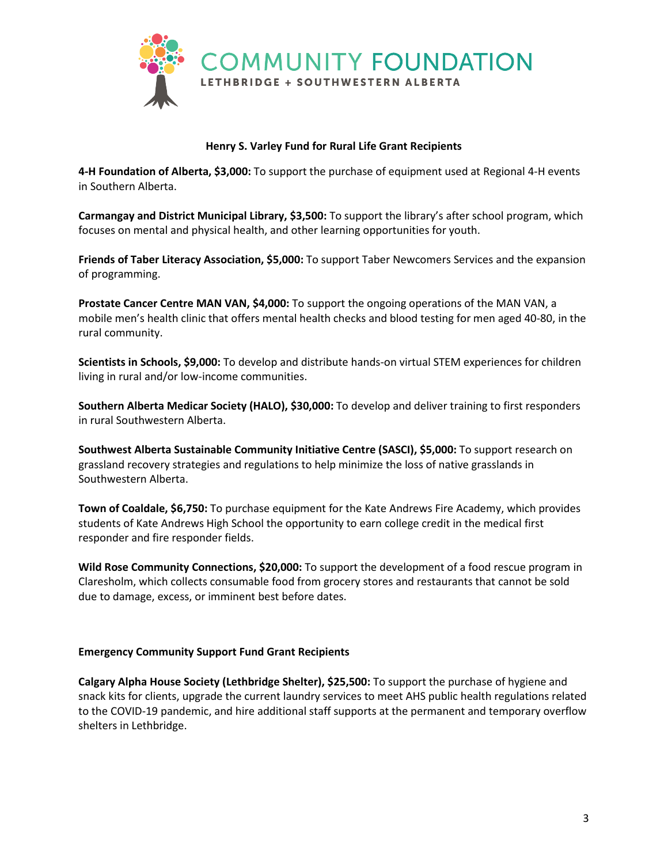

## **Henry S. Varley Fund for Rural Life Grant Recipients**

**4-H Foundation of Alberta, \$3,000:** To support the purchase of equipment used at Regional 4-H events in Southern Alberta.

**Carmangay and District Municipal Library, \$3,500:** To support the library's after school program, which focuses on mental and physical health, and other learning opportunities for youth.

**Friends of Taber Literacy Association, \$5,000:** To support Taber Newcomers Services and the expansion of programming.

**Prostate Cancer Centre MAN VAN, \$4,000:** To support the ongoing operations of the MAN VAN, a mobile men's health clinic that offers mental health checks and blood testing for men aged 40-80, in the rural community.

**Scientists in Schools, \$9,000:** To develop and distribute hands-on virtual STEM experiences for children living in rural and/or low-income communities.

**Southern Alberta Medicar Society (HALO), \$30,000:** To develop and deliver training to first responders in rural Southwestern Alberta.

**Southwest Alberta Sustainable Community Initiative Centre (SASCI), \$5,000:** To support research on grassland recovery strategies and regulations to help minimize the loss of native grasslands in Southwestern Alberta.

**Town of Coaldale, \$6,750:** To purchase equipment for the Kate Andrews Fire Academy, which provides students of Kate Andrews High School the opportunity to earn college credit in the medical first responder and fire responder fields.

**Wild Rose Community Connections, \$20,000:** To support the development of a food rescue program in Claresholm, which collects consumable food from grocery stores and restaurants that cannot be sold due to damage, excess, or imminent best before dates.

## **Emergency Community Support Fund Grant Recipients**

**Calgary Alpha House Society (Lethbridge Shelter), \$25,500:** To support the purchase of hygiene and snack kits for clients, upgrade the current laundry services to meet AHS public health regulations related to the COVID-19 pandemic, and hire additional staff supports at the permanent and temporary overflow shelters in Lethbridge.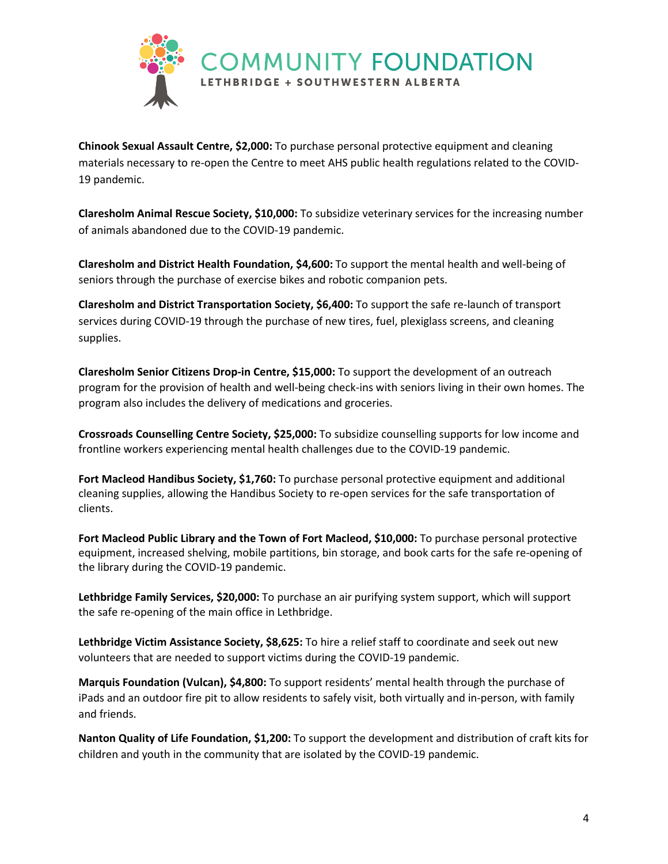

**Chinook Sexual Assault Centre, \$2,000:** To purchase personal protective equipment and cleaning materials necessary to re-open the Centre to meet AHS public health regulations related to the COVID-19 pandemic.

**Claresholm Animal Rescue Society, \$10,000:** To subsidize veterinary services for the increasing number of animals abandoned due to the COVID-19 pandemic.

**Claresholm and District Health Foundation, \$4,600:** To support the mental health and well-being of seniors through the purchase of exercise bikes and robotic companion pets.

**Claresholm and District Transportation Society, \$6,400:** To support the safe re-launch of transport services during COVID-19 through the purchase of new tires, fuel, plexiglass screens, and cleaning supplies.

**Claresholm Senior Citizens Drop-in Centre, \$15,000:** To support the development of an outreach program for the provision of health and well-being check-ins with seniors living in their own homes. The program also includes the delivery of medications and groceries.

**Crossroads Counselling Centre Society, \$25,000:** To subsidize counselling supports for low income and frontline workers experiencing mental health challenges due to the COVID-19 pandemic.

**Fort Macleod Handibus Society, \$1,760:** To purchase personal protective equipment and additional cleaning supplies, allowing the Handibus Society to re-open services for the safe transportation of clients.

**Fort Macleod Public Library and the Town of Fort Macleod, \$10,000:** To purchase personal protective equipment, increased shelving, mobile partitions, bin storage, and book carts for the safe re-opening of the library during the COVID-19 pandemic.

**Lethbridge Family Services, \$20,000:** To purchase an air purifying system support, which will support the safe re-opening of the main office in Lethbridge.

**Lethbridge Victim Assistance Society, \$8,625:** To hire a relief staff to coordinate and seek out new volunteers that are needed to support victims during the COVID-19 pandemic.

**Marquis Foundation (Vulcan), \$4,800:** To support residents' mental health through the purchase of iPads and an outdoor fire pit to allow residents to safely visit, both virtually and in-person, with family and friends.

**Nanton Quality of Life Foundation, \$1,200:** To support the development and distribution of craft kits for children and youth in the community that are isolated by the COVID-19 pandemic.